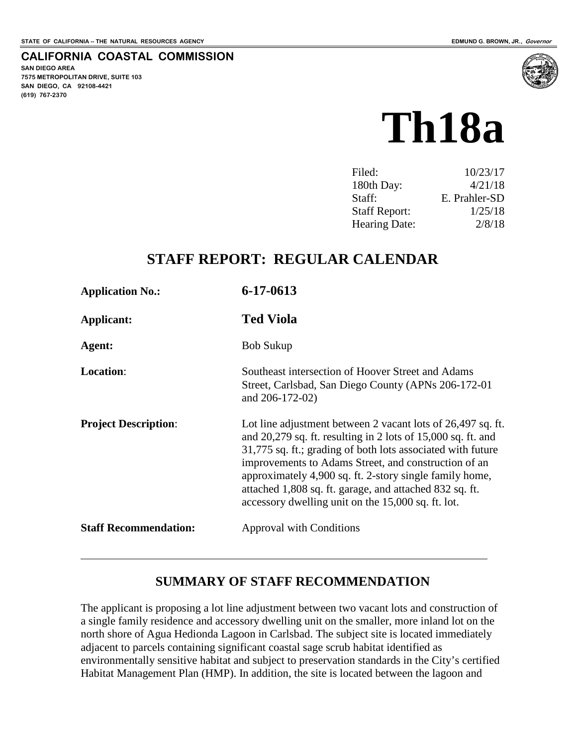#### **CALIFORNIA COASTAL COMMISSION**

**SAN DIEGO AREA 7575 METROPOLITAN DRIVE, SUITE 103 SAN DIEGO, CA 92108-4421 (619) 767-2370**



| 10/23/17      |
|---------------|
| 4/21/18       |
| E. Prahler-SD |
| 1/25/18       |
| 2/8/18        |
|               |

## **STAFF REPORT: REGULAR CALENDAR**

| <b>Application No.:</b>      | 6-17-0613                                                                                                                                                                                                                                                                                                                                                                                                                          |
|------------------------------|------------------------------------------------------------------------------------------------------------------------------------------------------------------------------------------------------------------------------------------------------------------------------------------------------------------------------------------------------------------------------------------------------------------------------------|
| Applicant:                   | <b>Ted Viola</b>                                                                                                                                                                                                                                                                                                                                                                                                                   |
| Agent:                       | <b>Bob Sukup</b>                                                                                                                                                                                                                                                                                                                                                                                                                   |
| <b>Location:</b>             | Southeast intersection of Hoover Street and Adams<br>Street, Carlsbad, San Diego County (APNs 206-172-01)<br>and 206-172-02)                                                                                                                                                                                                                                                                                                       |
| <b>Project Description:</b>  | Lot line adjustment between 2 vacant lots of 26,497 sq. ft.<br>and $20,279$ sq. ft. resulting in 2 lots of $15,000$ sq. ft. and<br>31,775 sq. ft.; grading of both lots associated with future<br>improvements to Adams Street, and construction of an<br>approximately 4,900 sq. ft. 2-story single family home,<br>attached 1,808 sq. ft. garage, and attached 832 sq. ft.<br>accessory dwelling unit on the 15,000 sq. ft. lot. |
| <b>Staff Recommendation:</b> | <b>Approval with Conditions</b>                                                                                                                                                                                                                                                                                                                                                                                                    |
|                              |                                                                                                                                                                                                                                                                                                                                                                                                                                    |

## **SUMMARY OF STAFF RECOMMENDATION**

The applicant is proposing a lot line adjustment between two vacant lots and construction of a single family residence and accessory dwelling unit on the smaller, more inland lot on the north shore of Agua Hedionda Lagoon in Carlsbad. The subject site is located immediately adjacent to parcels containing significant coastal sage scrub habitat identified as environmentally sensitive habitat and subject to preservation standards in the City's certified Habitat Management Plan (HMP). In addition, the site is located between the lagoon and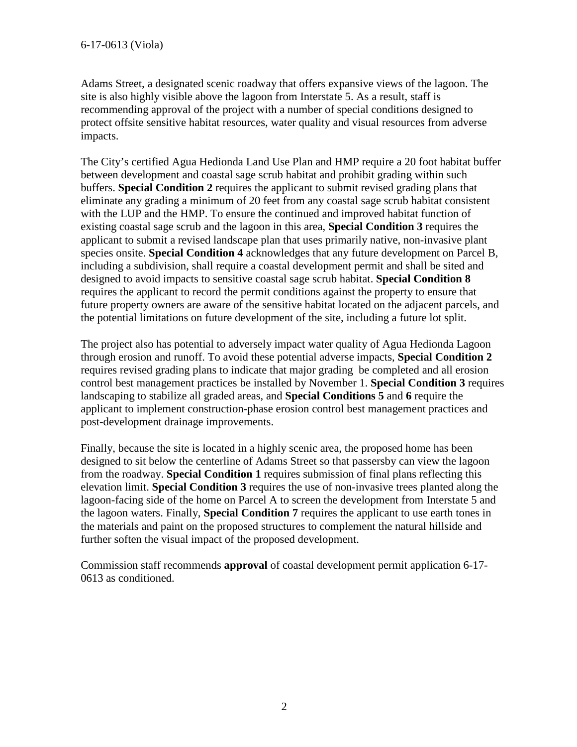Adams Street, a designated scenic roadway that offers expansive views of the lagoon. The site is also highly visible above the lagoon from Interstate 5. As a result, staff is recommending approval of the project with a number of special conditions designed to protect offsite sensitive habitat resources, water quality and visual resources from adverse impacts.

The City's certified Agua Hedionda Land Use Plan and HMP require a 20 foot habitat buffer between development and coastal sage scrub habitat and prohibit grading within such buffers. **Special Condition 2** requires the applicant to submit revised grading plans that eliminate any grading a minimum of 20 feet from any coastal sage scrub habitat consistent with the LUP and the HMP. To ensure the continued and improved habitat function of existing coastal sage scrub and the lagoon in this area, **Special Condition 3** requires the applicant to submit a revised landscape plan that uses primarily native, non-invasive plant species onsite. **Special Condition 4** acknowledges that any future development on Parcel B, including a subdivision, shall require a coastal development permit and shall be sited and designed to avoid impacts to sensitive coastal sage scrub habitat. **Special Condition 8**  requires the applicant to record the permit conditions against the property to ensure that future property owners are aware of the sensitive habitat located on the adjacent parcels, and the potential limitations on future development of the site, including a future lot split.

The project also has potential to adversely impact water quality of Agua Hedionda Lagoon through erosion and runoff. To avoid these potential adverse impacts, **Special Condition 2** requires revised grading plans to indicate that major grading be completed and all erosion control best management practices be installed by November 1. **Special Condition 3** requires landscaping to stabilize all graded areas, and **Special Conditions 5** and **6** require the applicant to implement construction-phase erosion control best management practices and post-development drainage improvements.

Finally, because the site is located in a highly scenic area, the proposed home has been designed to sit below the centerline of Adams Street so that passersby can view the lagoon from the roadway. **Special Condition 1** requires submission of final plans reflecting this elevation limit. **Special Condition 3** requires the use of non-invasive trees planted along the lagoon-facing side of the home on Parcel A to screen the development from Interstate 5 and the lagoon waters. Finally, **Special Condition 7** requires the applicant to use earth tones in the materials and paint on the proposed structures to complement the natural hillside and further soften the visual impact of the proposed development.

Commission staff recommends **approval** of coastal development permit application 6-17- 0613 as conditioned.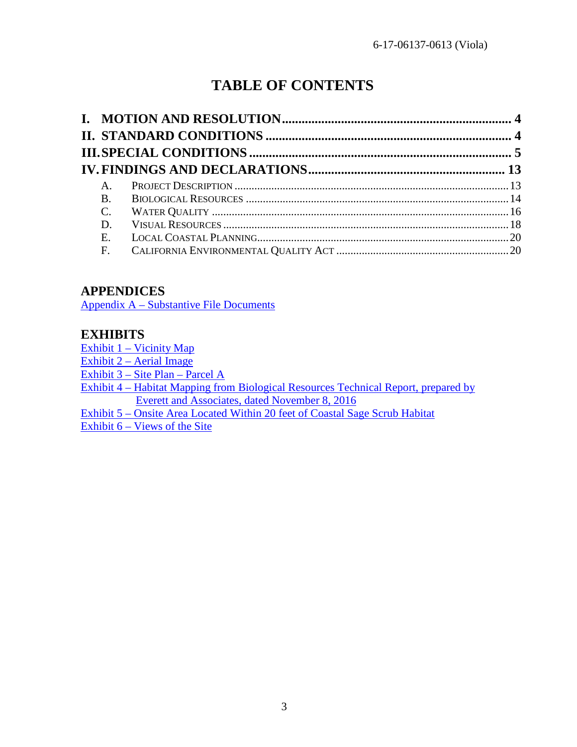# **TABLE OF CONTENTS**

| $A_{1}$   |  |
|-----------|--|
| <b>B.</b> |  |
| $C$ .     |  |
| D.        |  |
| Ε.        |  |
| F.        |  |
|           |  |

# **APPENDICES**

[Appendix A – Substantive File Documents](#page-21-0)

## **EXHIBITS**

[Exhibit 1 – Vicinity Map](https://documents.coastal.ca.gov/reports/2018/2/th18a/th18a-2-2018-exhibits.pdf)

[Exhibit 2 – Aerial Image](https://documents.coastal.ca.gov/reports/2018/2/th18a/th18a-2-2018-exhibits.pdf)

[Exhibit 3 – Site Plan – Parcel A](https://documents.coastal.ca.gov/reports/2018/2/th18a/th18a-2-2018-exhibits.pdf)

[Exhibit 4 – Habitat Mapping from Biological Resources Technical Report, prepared](https://documents.coastal.ca.gov/reports/2018/2/th18a/th18a-2-2018-exhibits.pdf) by [Everett and Associates, dated November 8, 2016](https://documents.coastal.ca.gov/reports/2018/2/th18a/th18a-2-2018-exhibits.pdf) 

[Exhibit 5 – Onsite Area Located Within 20 feet of Coastal Sage Scrub Habitat](https://documents.coastal.ca.gov/reports/2018/2/th18a/th18a-2-2018-exhibits.pdf) [Exhibit 6 – Views of the Site](https://documents.coastal.ca.gov/reports/2018/2/th18a/th18a-2-2018-exhibits.pdf)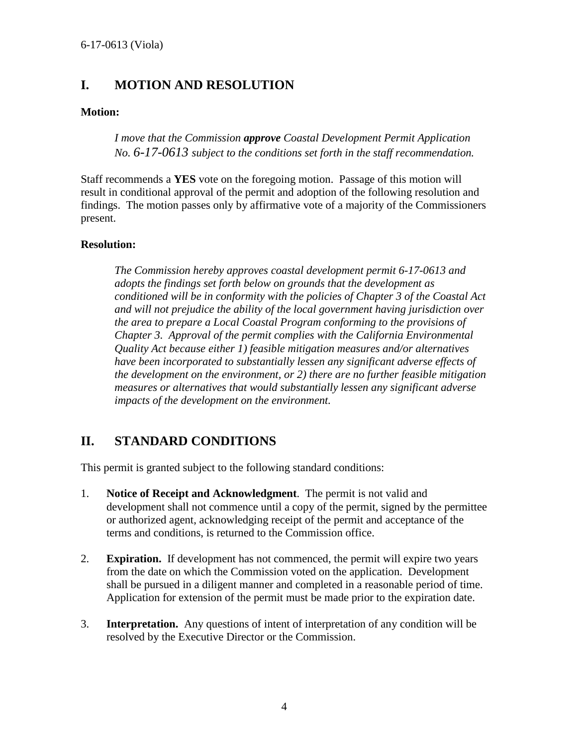# <span id="page-3-0"></span>**I. MOTION AND RESOLUTION**

#### **Motion:**

*I move that the Commission approve Coastal Development Permit Application No. 6-17-0613 subject to the conditions set forth in the staff recommendation.* 

Staff recommends a **YES** vote on the foregoing motion. Passage of this motion will result in conditional approval of the permit and adoption of the following resolution and findings. The motion passes only by affirmative vote of a majority of the Commissioners present.

#### **Resolution:**

*The Commission hereby approves coastal development permit 6-17-0613 and adopts the findings set forth below on grounds that the development as conditioned will be in conformity with the policies of Chapter 3 of the Coastal Act and will not prejudice the ability of the local government having jurisdiction over the area to prepare a Local Coastal Program conforming to the provisions of Chapter 3. Approval of the permit complies with the California Environmental Quality Act because either 1) feasible mitigation measures and/or alternatives have been incorporated to substantially lessen any significant adverse effects of the development on the environment, or 2) there are no further feasible mitigation measures or alternatives that would substantially lessen any significant adverse impacts of the development on the environment.* 

# <span id="page-3-1"></span>**II. STANDARD CONDITIONS**

This permit is granted subject to the following standard conditions:

- 1. **Notice of Receipt and Acknowledgment**. The permit is not valid and development shall not commence until a copy of the permit, signed by the permittee or authorized agent, acknowledging receipt of the permit and acceptance of the terms and conditions, is returned to the Commission office.
- 2. **Expiration.** If development has not commenced, the permit will expire two years from the date on which the Commission voted on the application. Development shall be pursued in a diligent manner and completed in a reasonable period of time. Application for extension of the permit must be made prior to the expiration date.
- 3. **Interpretation.** Any questions of intent of interpretation of any condition will be resolved by the Executive Director or the Commission.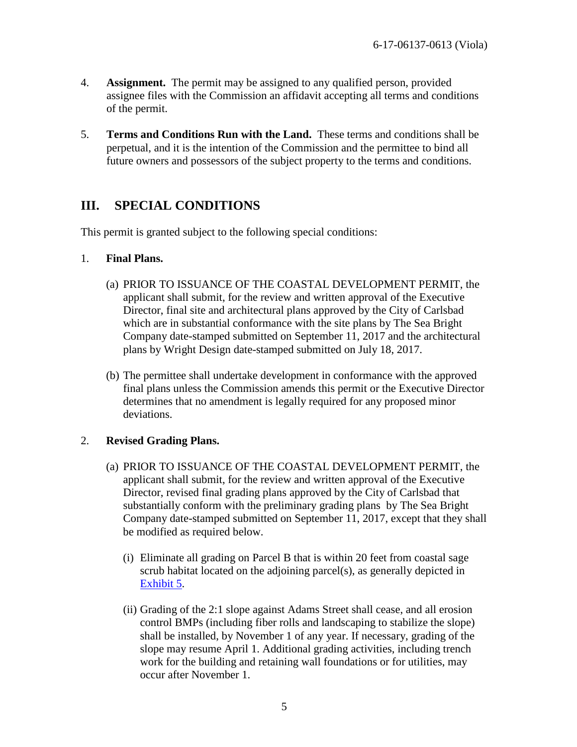- 4. **Assignment.** The permit may be assigned to any qualified person, provided assignee files with the Commission an affidavit accepting all terms and conditions of the permit.
- 5. **Terms and Conditions Run with the Land.** These terms and conditions shall be perpetual, and it is the intention of the Commission and the permittee to bind all future owners and possessors of the subject property to the terms and conditions.

# <span id="page-4-0"></span>**III. SPECIAL CONDITIONS**

This permit is granted subject to the following special conditions:

#### 1. **Final Plans.**

- (a) PRIOR TO ISSUANCE OF THE COASTAL DEVELOPMENT PERMIT, the applicant shall submit, for the review and written approval of the Executive Director, final site and architectural plans approved by the City of Carlsbad which are in substantial conformance with the site plans by The Sea Bright Company date-stamped submitted on September 11, 2017 and the architectural plans by Wright Design date-stamped submitted on July 18, 2017.
- (b) The permittee shall undertake development in conformance with the approved final plans unless the Commission amends this permit or the Executive Director determines that no amendment is legally required for any proposed minor deviations.

### 2. **Revised Grading Plans.**

- (a) PRIOR TO ISSUANCE OF THE COASTAL DEVELOPMENT PERMIT, the applicant shall submit, for the review and written approval of the Executive Director, revised final grading plans approved by the City of Carlsbad that substantially conform with the preliminary grading plans by The Sea Bright Company date-stamped submitted on September 11, 2017, except that they shall be modified as required below.
	- (i) Eliminate all grading on Parcel B that is within 20 feet from coastal sage scrub habitat located on the adjoining parcel(s), as generally depicted in [Exhibit 5.](https://documents.coastal.ca.gov/reports/2018/2/th18a/th18a-2-2018-exhibits.pdf)
	- (ii) Grading of the 2:1 slope against Adams Street shall cease, and all erosion control BMPs (including fiber rolls and landscaping to stabilize the slope) shall be installed, by November 1 of any year. If necessary, grading of the slope may resume April 1. Additional grading activities, including trench work for the building and retaining wall foundations or for utilities, may occur after November 1.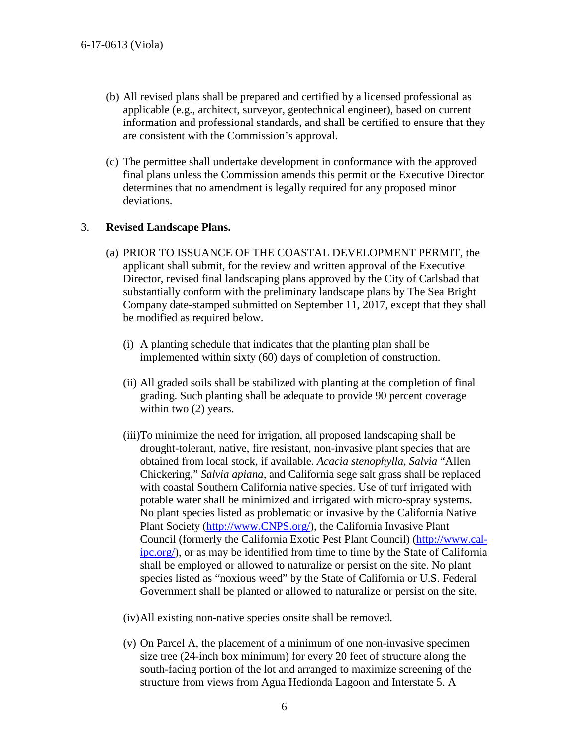- (b) All revised plans shall be prepared and certified by a licensed professional as applicable (e.g., architect, surveyor, geotechnical engineer), based on current information and professional standards, and shall be certified to ensure that they are consistent with the Commission's approval.
- (c) The permittee shall undertake development in conformance with the approved final plans unless the Commission amends this permit or the Executive Director determines that no amendment is legally required for any proposed minor deviations.

#### 3. **Revised Landscape Plans.**

- (a) PRIOR TO ISSUANCE OF THE COASTAL DEVELOPMENT PERMIT, the applicant shall submit, for the review and written approval of the Executive Director, revised final landscaping plans approved by the City of Carlsbad that substantially conform with the preliminary landscape plans by The Sea Bright Company date-stamped submitted on September 11, 2017, except that they shall be modified as required below.
	- (i) A planting schedule that indicates that the planting plan shall be implemented within sixty (60) days of completion of construction.
	- (ii) All graded soils shall be stabilized with planting at the completion of final grading. Such planting shall be adequate to provide 90 percent coverage within two  $(2)$  years.
	- (iii)To minimize the need for irrigation, all proposed landscaping shall be drought-tolerant, native, fire resistant, non-invasive plant species that are obtained from local stock, if available. *Acacia stenophylla, Salvia* "Allen Chickering," *Salvia apiana*, and California sege salt grass shall be replaced with coastal Southern California native species. Use of turf irrigated with potable water shall be minimized and irrigated with micro-spray systems. No plant species listed as problematic or invasive by the California Native Plant Society [\(http://www.CNPS.org/\)](http://www.cnps.org/), the California Invasive Plant Council (formerly the California Exotic Pest Plant Council) [\(http://www.cal](http://www.cal-ipc.org/)[ipc.org/\)](http://www.cal-ipc.org/), or as may be identified from time to time by the State of California shall be employed or allowed to naturalize or persist on the site. No plant species listed as "noxious weed" by the State of California or U.S. Federal Government shall be planted or allowed to naturalize or persist on the site.
	- (iv)All existing non-native species onsite shall be removed.
	- (v) On Parcel A, the placement of a minimum of one non-invasive specimen size tree (24-inch box minimum) for every 20 feet of structure along the south-facing portion of the lot and arranged to maximize screening of the structure from views from Agua Hedionda Lagoon and Interstate 5. A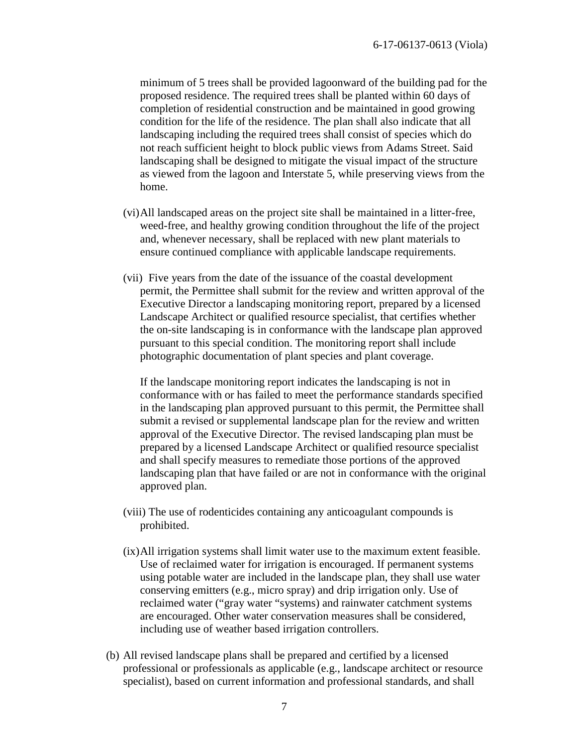minimum of 5 trees shall be provided lagoonward of the building pad for the proposed residence. The required trees shall be planted within 60 days of completion of residential construction and be maintained in good growing condition for the life of the residence. The plan shall also indicate that all landscaping including the required trees shall consist of species which do not reach sufficient height to block public views from Adams Street. Said landscaping shall be designed to mitigate the visual impact of the structure as viewed from the lagoon and Interstate 5, while preserving views from the home.

- (vi)All landscaped areas on the project site shall be maintained in a litter-free, weed-free, and healthy growing condition throughout the life of the project and, whenever necessary, shall be replaced with new plant materials to ensure continued compliance with applicable landscape requirements.
- (vii) Five years from the date of the issuance of the coastal development permit, the Permittee shall submit for the review and written approval of the Executive Director a landscaping monitoring report, prepared by a licensed Landscape Architect or qualified resource specialist, that certifies whether the on-site landscaping is in conformance with the landscape plan approved pursuant to this special condition. The monitoring report shall include photographic documentation of plant species and plant coverage.

If the landscape monitoring report indicates the landscaping is not in conformance with or has failed to meet the performance standards specified in the landscaping plan approved pursuant to this permit, the Permittee shall submit a revised or supplemental landscape plan for the review and written approval of the Executive Director. The revised landscaping plan must be prepared by a licensed Landscape Architect or qualified resource specialist and shall specify measures to remediate those portions of the approved landscaping plan that have failed or are not in conformance with the original approved plan.

- (viii) The use of rodenticides containing any anticoagulant compounds is prohibited.
- (ix)All irrigation systems shall limit water use to the maximum extent feasible. Use of reclaimed water for irrigation is encouraged. If permanent systems using potable water are included in the landscape plan, they shall use water conserving emitters (e.g., micro spray) and drip irrigation only. Use of reclaimed water ("gray water "systems) and rainwater catchment systems are encouraged. Other water conservation measures shall be considered, including use of weather based irrigation controllers.
- (b) All revised landscape plans shall be prepared and certified by a licensed professional or professionals as applicable (e.g., landscape architect or resource specialist), based on current information and professional standards, and shall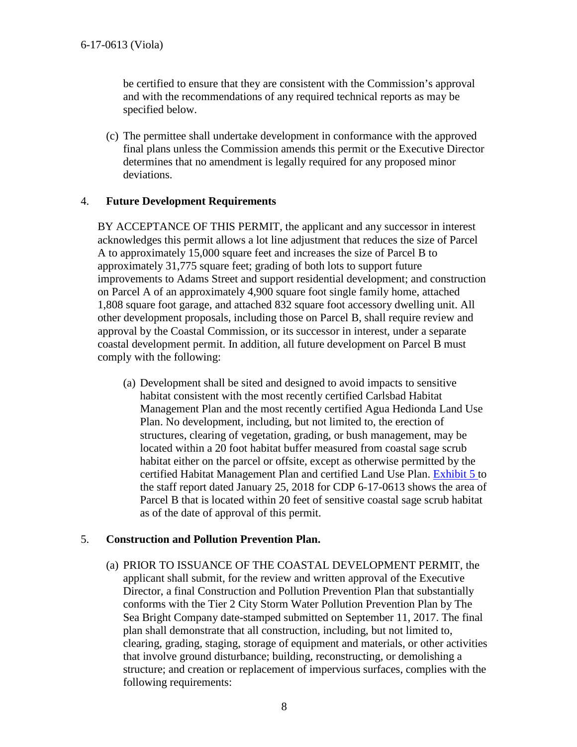be certified to ensure that they are consistent with the Commission's approval and with the recommendations of any required technical reports as may be specified below.

(c) The permittee shall undertake development in conformance with the approved final plans unless the Commission amends this permit or the Executive Director determines that no amendment is legally required for any proposed minor deviations.

#### 4. **Future Development Requirements**

BY ACCEPTANCE OF THIS PERMIT, the applicant and any successor in interest acknowledges this permit allows a lot line adjustment that reduces the size of Parcel A to approximately 15,000 square feet and increases the size of Parcel B to approximately 31,775 square feet; grading of both lots to support future improvements to Adams Street and support residential development; and construction on Parcel A of an approximately 4,900 square foot single family home, attached 1,808 square foot garage, and attached 832 square foot accessory dwelling unit. All other development proposals, including those on Parcel B, shall require review and approval by the Coastal Commission, or its successor in interest, under a separate coastal development permit. In addition, all future development on Parcel B must comply with the following:

(a) Development shall be sited and designed to avoid impacts to sensitive habitat consistent with the most recently certified Carlsbad Habitat Management Plan and the most recently certified Agua Hedionda Land Use Plan. No development, including, but not limited to, the erection of structures, clearing of vegetation, grading, or bush management, may be located within a 20 foot habitat buffer measured from coastal sage scrub habitat either on the parcel or offsite, except as otherwise permitted by the certified Habitat Management Plan and certified Land Use Plan. [Exhibit 5 t](https://documents.coastal.ca.gov/reports/2018/2/th18a/th18a-2-2018-exhibits.pdf)o the staff report dated January 25, 2018 for CDP 6-17-0613 shows the area of Parcel B that is located within 20 feet of sensitive coastal sage scrub habitat as of the date of approval of this permit.

### 5. **Construction and Pollution Prevention Plan.**

(a) PRIOR TO ISSUANCE OF THE COASTAL DEVELOPMENT PERMIT, the applicant shall submit, for the review and written approval of the Executive Director, a final Construction and Pollution Prevention Plan that substantially conforms with the Tier 2 City Storm Water Pollution Prevention Plan by The Sea Bright Company date-stamped submitted on September 11, 2017. The final plan shall demonstrate that all construction, including, but not limited to, clearing, grading, staging, storage of equipment and materials, or other activities that involve ground disturbance; building, reconstructing, or demolishing a structure; and creation or replacement of impervious surfaces, complies with the following requirements: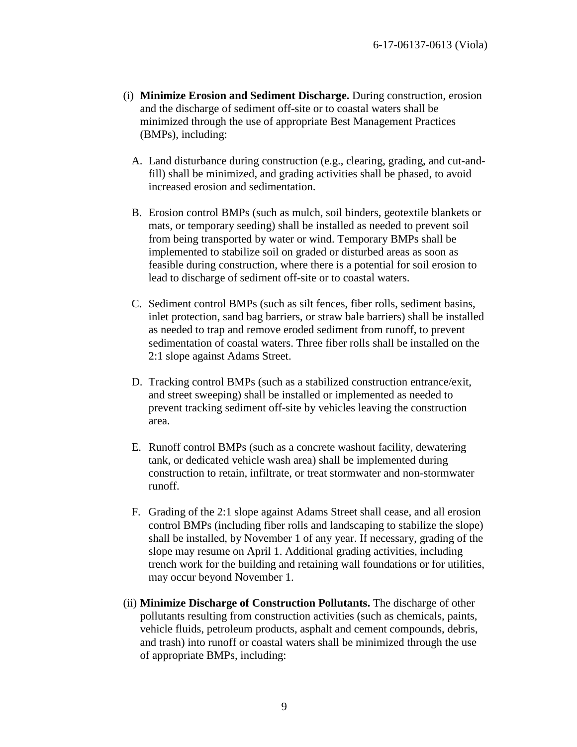- (i) **Minimize Erosion and Sediment Discharge.** During construction, erosion and the discharge of sediment off-site or to coastal waters shall be minimized through the use of appropriate Best Management Practices (BMPs), including:
	- A. Land disturbance during construction (e.g., clearing, grading, and cut-andfill) shall be minimized, and grading activities shall be phased, to avoid increased erosion and sedimentation.
	- B. Erosion control BMPs (such as mulch, soil binders, geotextile blankets or mats, or temporary seeding) shall be installed as needed to prevent soil from being transported by water or wind. Temporary BMPs shall be implemented to stabilize soil on graded or disturbed areas as soon as feasible during construction, where there is a potential for soil erosion to lead to discharge of sediment off-site or to coastal waters.
	- C. Sediment control BMPs (such as silt fences, fiber rolls, sediment basins, inlet protection, sand bag barriers, or straw bale barriers) shall be installed as needed to trap and remove eroded sediment from runoff, to prevent sedimentation of coastal waters. Three fiber rolls shall be installed on the 2:1 slope against Adams Street.
	- D. Tracking control BMPs (such as a stabilized construction entrance/exit, and street sweeping) shall be installed or implemented as needed to prevent tracking sediment off-site by vehicles leaving the construction area.
	- E. Runoff control BMPs (such as a concrete washout facility, dewatering tank, or dedicated vehicle wash area) shall be implemented during construction to retain, infiltrate, or treat stormwater and non-stormwater runoff.
	- F. Grading of the 2:1 slope against Adams Street shall cease, and all erosion control BMPs (including fiber rolls and landscaping to stabilize the slope) shall be installed, by November 1 of any year. If necessary, grading of the slope may resume on April 1. Additional grading activities, including trench work for the building and retaining wall foundations or for utilities, may occur beyond November 1.
- (ii) **Minimize Discharge of Construction Pollutants.** The discharge of other pollutants resulting from construction activities (such as chemicals, paints, vehicle fluids, petroleum products, asphalt and cement compounds, debris, and trash) into runoff or coastal waters shall be minimized through the use of appropriate BMPs, including: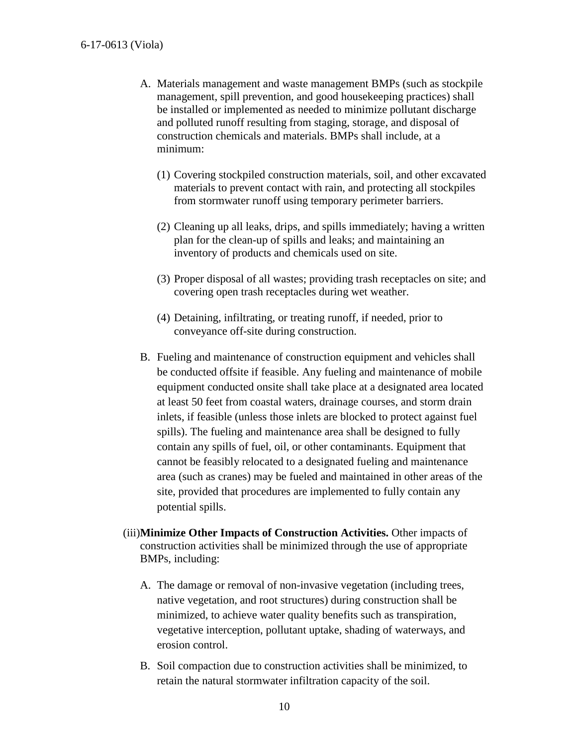- A. Materials management and waste management BMPs (such as stockpile management, spill prevention, and good housekeeping practices) shall be installed or implemented as needed to minimize pollutant discharge and polluted runoff resulting from staging, storage, and disposal of construction chemicals and materials. BMPs shall include, at a minimum:
	- (1) Covering stockpiled construction materials, soil, and other excavated materials to prevent contact with rain, and protecting all stockpiles from stormwater runoff using temporary perimeter barriers.
	- (2) Cleaning up all leaks, drips, and spills immediately; having a written plan for the clean-up of spills and leaks; and maintaining an inventory of products and chemicals used on site.
	- (3) Proper disposal of all wastes; providing trash receptacles on site; and covering open trash receptacles during wet weather.
	- (4) Detaining, infiltrating, or treating runoff, if needed, prior to conveyance off-site during construction.
- B. Fueling and maintenance of construction equipment and vehicles shall be conducted offsite if feasible. Any fueling and maintenance of mobile equipment conducted onsite shall take place at a designated area located at least 50 feet from coastal waters, drainage courses, and storm drain inlets, if feasible (unless those inlets are blocked to protect against fuel spills). The fueling and maintenance area shall be designed to fully contain any spills of fuel, oil, or other contaminants. Equipment that cannot be feasibly relocated to a designated fueling and maintenance area (such as cranes) may be fueled and maintained in other areas of the site, provided that procedures are implemented to fully contain any potential spills.
- (iii)**Minimize Other Impacts of Construction Activities.** Other impacts of construction activities shall be minimized through the use of appropriate BMPs, including:
	- A. The damage or removal of non-invasive vegetation (including trees, native vegetation, and root structures) during construction shall be minimized, to achieve water quality benefits such as transpiration, vegetative interception, pollutant uptake, shading of waterways, and erosion control.
	- B. Soil compaction due to construction activities shall be minimized, to retain the natural stormwater infiltration capacity of the soil.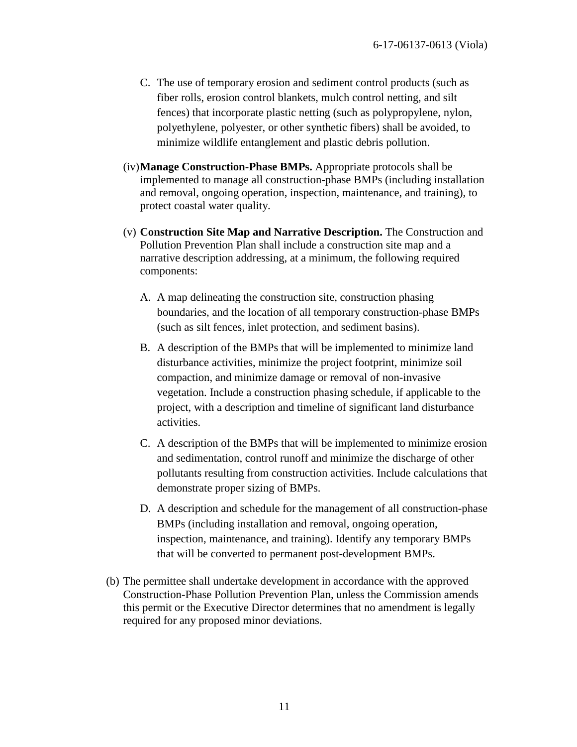- C. The use of temporary erosion and sediment control products (such as fiber rolls, erosion control blankets, mulch control netting, and silt fences) that incorporate plastic netting (such as polypropylene, nylon, polyethylene, polyester, or other synthetic fibers) shall be avoided, to minimize wildlife entanglement and plastic debris pollution.
- (iv)**Manage Construction-Phase BMPs.** Appropriate protocols shall be implemented to manage all construction-phase BMPs (including installation and removal, ongoing operation, inspection, maintenance, and training), to protect coastal water quality.
- (v) **Construction Site Map and Narrative Description.** The Construction and Pollution Prevention Plan shall include a construction site map and a narrative description addressing, at a minimum, the following required components:
	- A. A map delineating the construction site, construction phasing boundaries, and the location of all temporary construction-phase BMPs (such as silt fences, inlet protection, and sediment basins).
	- B. A description of the BMPs that will be implemented to minimize land disturbance activities, minimize the project footprint, minimize soil compaction, and minimize damage or removal of non-invasive vegetation. Include a construction phasing schedule, if applicable to the project, with a description and timeline of significant land disturbance activities.
	- C. A description of the BMPs that will be implemented to minimize erosion and sedimentation, control runoff and minimize the discharge of other pollutants resulting from construction activities. Include calculations that demonstrate proper sizing of BMPs.
	- D. A description and schedule for the management of all construction-phase BMPs (including installation and removal, ongoing operation, inspection, maintenance, and training). Identify any temporary BMPs that will be converted to permanent post-development BMPs.
- (b) The permittee shall undertake development in accordance with the approved Construction-Phase Pollution Prevention Plan, unless the Commission amends this permit or the Executive Director determines that no amendment is legally required for any proposed minor deviations.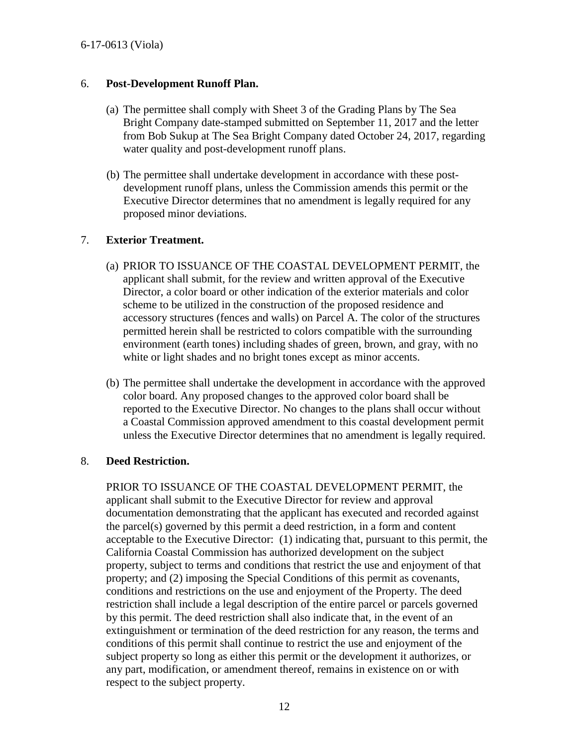#### 6. **Post-Development Runoff Plan.**

- (a) The permittee shall comply with Sheet 3 of the Grading Plans by The Sea Bright Company date-stamped submitted on September 11, 2017 and the letter from Bob Sukup at The Sea Bright Company dated October 24, 2017, regarding water quality and post-development runoff plans.
- (b) The permittee shall undertake development in accordance with these postdevelopment runoff plans, unless the Commission amends this permit or the Executive Director determines that no amendment is legally required for any proposed minor deviations.

### 7. **Exterior Treatment.**

- (a) PRIOR TO ISSUANCE OF THE COASTAL DEVELOPMENT PERMIT, the applicant shall submit, for the review and written approval of the Executive Director, a color board or other indication of the exterior materials and color scheme to be utilized in the construction of the proposed residence and accessory structures (fences and walls) on Parcel A. The color of the structures permitted herein shall be restricted to colors compatible with the surrounding environment (earth tones) including shades of green, brown, and gray, with no white or light shades and no bright tones except as minor accents.
- (b) The permittee shall undertake the development in accordance with the approved color board. Any proposed changes to the approved color board shall be reported to the Executive Director. No changes to the plans shall occur without a Coastal Commission approved amendment to this coastal development permit unless the Executive Director determines that no amendment is legally required.

#### 8. **Deed Restriction.**

PRIOR TO ISSUANCE OF THE COASTAL DEVELOPMENT PERMIT, the applicant shall submit to the Executive Director for review and approval documentation demonstrating that the applicant has executed and recorded against the parcel(s) governed by this permit a deed restriction, in a form and content acceptable to the Executive Director: (1) indicating that, pursuant to this permit, the California Coastal Commission has authorized development on the subject property, subject to terms and conditions that restrict the use and enjoyment of that property; and (2) imposing the Special Conditions of this permit as covenants, conditions and restrictions on the use and enjoyment of the Property. The deed restriction shall include a legal description of the entire parcel or parcels governed by this permit. The deed restriction shall also indicate that, in the event of an extinguishment or termination of the deed restriction for any reason, the terms and conditions of this permit shall continue to restrict the use and enjoyment of the subject property so long as either this permit or the development it authorizes, or any part, modification, or amendment thereof, remains in existence on or with respect to the subject property.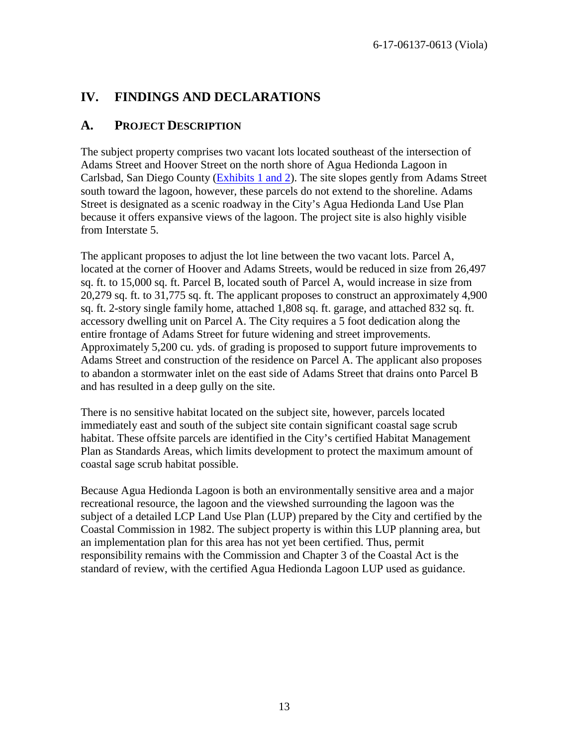# <span id="page-12-0"></span>**IV. FINDINGS AND DECLARATIONS**

## <span id="page-12-1"></span>**A. PROJECT DESCRIPTION**

The subject property comprises two vacant lots located southeast of the intersection of Adams Street and Hoover Street on the north shore of Agua Hedionda Lagoon in Carlsbad, San Diego County [\(Exhibits 1 and 2\)](https://documents.coastal.ca.gov/reports/2018/2/th18a/th18a-2-2018-exhibits.pdf). The site slopes gently from Adams Street south toward the lagoon, however, these parcels do not extend to the shoreline. Adams Street is designated as a scenic roadway in the City's Agua Hedionda Land Use Plan because it offers expansive views of the lagoon. The project site is also highly visible from Interstate 5.

The applicant proposes to adjust the lot line between the two vacant lots. Parcel A, located at the corner of Hoover and Adams Streets, would be reduced in size from 26,497 sq. ft. to 15,000 sq. ft. Parcel B, located south of Parcel A, would increase in size from 20,279 sq. ft. to 31,775 sq. ft. The applicant proposes to construct an approximately 4,900 sq. ft. 2-story single family home, attached 1,808 sq. ft. garage, and attached 832 sq. ft. accessory dwelling unit on Parcel A. The City requires a 5 foot dedication along the entire frontage of Adams Street for future widening and street improvements. Approximately 5,200 cu. yds. of grading is proposed to support future improvements to Adams Street and construction of the residence on Parcel A. The applicant also proposes to abandon a stormwater inlet on the east side of Adams Street that drains onto Parcel B and has resulted in a deep gully on the site.

There is no sensitive habitat located on the subject site, however, parcels located immediately east and south of the subject site contain significant coastal sage scrub habitat. These offsite parcels are identified in the City's certified Habitat Management Plan as Standards Areas, which limits development to protect the maximum amount of coastal sage scrub habitat possible.

Because Agua Hedionda Lagoon is both an environmentally sensitive area and a major recreational resource, the lagoon and the viewshed surrounding the lagoon was the subject of a detailed LCP Land Use Plan (LUP) prepared by the City and certified by the Coastal Commission in 1982. The subject property is within this LUP planning area, but an implementation plan for this area has not yet been certified. Thus, permit responsibility remains with the Commission and Chapter 3 of the Coastal Act is the standard of review, with the certified Agua Hedionda Lagoon LUP used as guidance.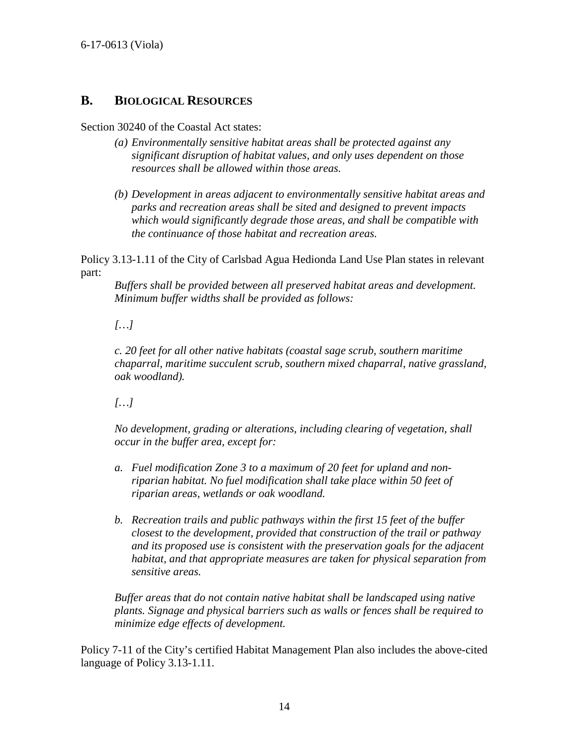## <span id="page-13-0"></span>**B. BIOLOGICAL RESOURCES**

#### Section 30240 of the Coastal Act states:

- *(a) Environmentally sensitive habitat areas shall be protected against any significant disruption of habitat values, and only uses dependent on those resources shall be allowed within those areas.*
- *(b) Development in areas adjacent to environmentally sensitive habitat areas and parks and recreation areas shall be sited and designed to prevent impacts which would significantly degrade those areas, and shall be compatible with the continuance of those habitat and recreation areas.*

Policy 3.13-1.11 of the City of Carlsbad Agua Hedionda Land Use Plan states in relevant part:

*Buffers shall be provided between all preserved habitat areas and development. Minimum buffer widths shall be provided as follows:* 

### *[…]*

*c. 20 feet for all other native habitats (coastal sage scrub, southern maritime chaparral, maritime succulent scrub, southern mixed chaparral, native grassland, oak woodland).* 

*[…]*

*No development, grading or alterations, including clearing of vegetation, shall occur in the buffer area, except for:* 

- *a. Fuel modification Zone 3 to a maximum of 20 feet for upland and nonriparian habitat. No fuel modification shall take place within 50 feet of riparian areas, wetlands or oak woodland.*
- *b. Recreation trails and public pathways within the first 15 feet of the buffer closest to the development, provided that construction of the trail or pathway and its proposed use is consistent with the preservation goals for the adjacent habitat, and that appropriate measures are taken for physical separation from sensitive areas.*

*Buffer areas that do not contain native habitat shall be landscaped using native plants. Signage and physical barriers such as walls or fences shall be required to minimize edge effects of development.*

Policy 7-11 of the City's certified Habitat Management Plan also includes the above-cited language of Policy 3.13-1.11.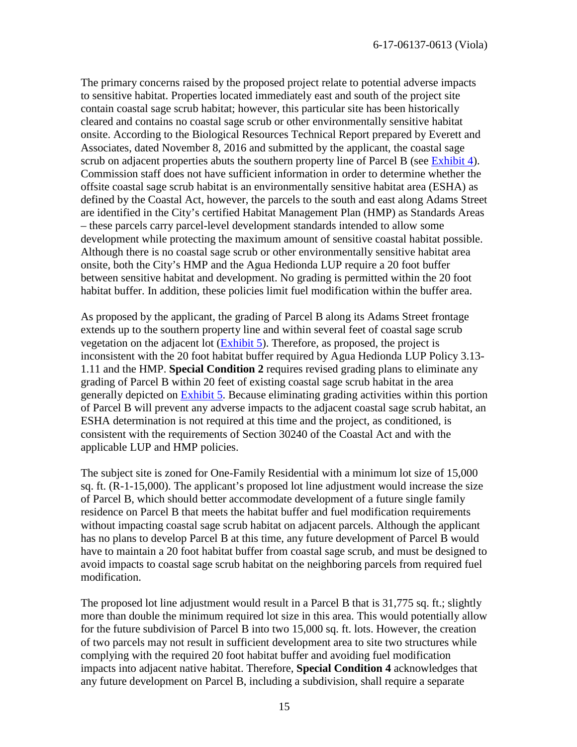The primary concerns raised by the proposed project relate to potential adverse impacts to sensitive habitat. Properties located immediately east and south of the project site contain coastal sage scrub habitat; however, this particular site has been historically cleared and contains no coastal sage scrub or other environmentally sensitive habitat onsite. According to the Biological Resources Technical Report prepared by Everett and Associates, dated November 8, 2016 and submitted by the applicant, the coastal sage scrub on adjacent properties abuts the southern property line of Parcel B (see [Exhibit 4\)](https://documents.coastal.ca.gov/reports/2018/2/th18a/th18a-2-2018-exhibits.pdf). Commission staff does not have sufficient information in order to determine whether the offsite coastal sage scrub habitat is an environmentally sensitive habitat area (ESHA) as defined by the Coastal Act, however, the parcels to the south and east along Adams Street are identified in the City's certified Habitat Management Plan (HMP) as Standards Areas – these parcels carry parcel-level development standards intended to allow some development while protecting the maximum amount of sensitive coastal habitat possible. Although there is no coastal sage scrub or other environmentally sensitive habitat area onsite, both the City's HMP and the Agua Hedionda LUP require a 20 foot buffer between sensitive habitat and development. No grading is permitted within the 20 foot habitat buffer. In addition, these policies limit fuel modification within the buffer area.

As proposed by the applicant, the grading of Parcel B along its Adams Street frontage extends up to the southern property line and within several feet of coastal sage scrub vegetation on the adjacent lot [\(Exhibit 5\)](https://documents.coastal.ca.gov/reports/2018/2/th18a/th18a-2-2018-exhibits.pdf). Therefore, as proposed, the project is inconsistent with the 20 foot habitat buffer required by Agua Hedionda LUP Policy 3.13- 1.11 and the HMP. **Special Condition 2** requires revised grading plans to eliminate any grading of Parcel B within 20 feet of existing coastal sage scrub habitat in the area generally depicted on [Exhibit 5.](https://documents.coastal.ca.gov/reports/2018/2/th18a/th18a-2-2018-exhibits.pdf) Because eliminating grading activities within this portion of Parcel B will prevent any adverse impacts to the adjacent coastal sage scrub habitat, an ESHA determination is not required at this time and the project, as conditioned, is consistent with the requirements of Section 30240 of the Coastal Act and with the applicable LUP and HMP policies.

The subject site is zoned for One-Family Residential with a minimum lot size of 15,000 sq. ft. (R-1-15,000). The applicant's proposed lot line adjustment would increase the size of Parcel B, which should better accommodate development of a future single family residence on Parcel B that meets the habitat buffer and fuel modification requirements without impacting coastal sage scrub habitat on adjacent parcels. Although the applicant has no plans to develop Parcel B at this time, any future development of Parcel B would have to maintain a 20 foot habitat buffer from coastal sage scrub, and must be designed to avoid impacts to coastal sage scrub habitat on the neighboring parcels from required fuel modification.

The proposed lot line adjustment would result in a Parcel B that is 31,775 sq. ft.; slightly more than double the minimum required lot size in this area. This would potentially allow for the future subdivision of Parcel B into two 15,000 sq. ft. lots. However, the creation of two parcels may not result in sufficient development area to site two structures while complying with the required 20 foot habitat buffer and avoiding fuel modification impacts into adjacent native habitat. Therefore, **Special Condition 4** acknowledges that any future development on Parcel B, including a subdivision, shall require a separate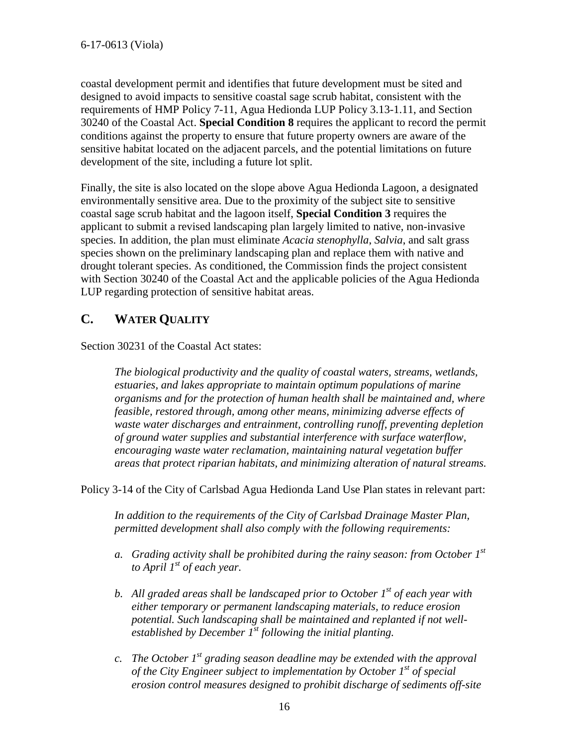coastal development permit and identifies that future development must be sited and designed to avoid impacts to sensitive coastal sage scrub habitat, consistent with the requirements of HMP Policy 7-11, Agua Hedionda LUP Policy 3.13-1.11, and Section 30240 of the Coastal Act. **Special Condition 8** requires the applicant to record the permit conditions against the property to ensure that future property owners are aware of the sensitive habitat located on the adjacent parcels, and the potential limitations on future development of the site, including a future lot split.

Finally, the site is also located on the slope above Agua Hedionda Lagoon, a designated environmentally sensitive area. Due to the proximity of the subject site to sensitive coastal sage scrub habitat and the lagoon itself, **Special Condition 3** requires the applicant to submit a revised landscaping plan largely limited to native, non-invasive species. In addition, the plan must eliminate *Acacia stenophylla*, *Salvia*, and salt grass species shown on the preliminary landscaping plan and replace them with native and drought tolerant species. As conditioned, the Commission finds the project consistent with Section 30240 of the Coastal Act and the applicable policies of the Agua Hedionda LUP regarding protection of sensitive habitat areas.

## <span id="page-15-0"></span>**C. WATER QUALITY**

Section 30231 of the Coastal Act states:

*The biological productivity and the quality of coastal waters, streams, wetlands, estuaries, and lakes appropriate to maintain optimum populations of marine organisms and for the protection of human health shall be maintained and, where feasible, restored through, among other means, minimizing adverse effects of waste water discharges and entrainment, controlling runoff, preventing depletion of ground water supplies and substantial interference with surface waterflow, encouraging waste water reclamation, maintaining natural vegetation buffer areas that protect riparian habitats, and minimizing alteration of natural streams.*

Policy 3-14 of the City of Carlsbad Agua Hedionda Land Use Plan states in relevant part:

*In addition to the requirements of the City of Carlsbad Drainage Master Plan, permitted development shall also comply with the following requirements:* 

- *a. Grading activity shall be prohibited during the rainy season: from October 1st to April 1st of each year.*
- *b. All graded areas shall be landscaped prior to October 1st of each year with either temporary or permanent landscaping materials, to reduce erosion potential. Such landscaping shall be maintained and replanted if not wellestablished by December 1st following the initial planting.*
- *c. The October 1st grading season deadline may be extended with the approval of the City Engineer subject to implementation by October 1<sup>st</sup> of special erosion control measures designed to prohibit discharge of sediments off-site*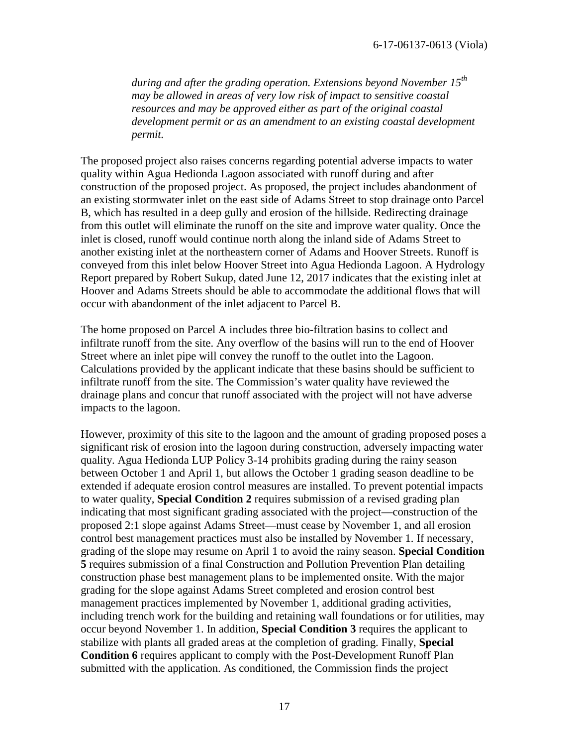*during and after the grading operation. Extensions beyond November 15th may be allowed in areas of very low risk of impact to sensitive coastal resources and may be approved either as part of the original coastal development permit or as an amendment to an existing coastal development permit.*

The proposed project also raises concerns regarding potential adverse impacts to water quality within Agua Hedionda Lagoon associated with runoff during and after construction of the proposed project. As proposed, the project includes abandonment of an existing stormwater inlet on the east side of Adams Street to stop drainage onto Parcel B, which has resulted in a deep gully and erosion of the hillside. Redirecting drainage from this outlet will eliminate the runoff on the site and improve water quality. Once the inlet is closed, runoff would continue north along the inland side of Adams Street to another existing inlet at the northeastern corner of Adams and Hoover Streets. Runoff is conveyed from this inlet below Hoover Street into Agua Hedionda Lagoon. A Hydrology Report prepared by Robert Sukup, dated June 12, 2017 indicates that the existing inlet at Hoover and Adams Streets should be able to accommodate the additional flows that will occur with abandonment of the inlet adjacent to Parcel B.

The home proposed on Parcel A includes three bio-filtration basins to collect and infiltrate runoff from the site. Any overflow of the basins will run to the end of Hoover Street where an inlet pipe will convey the runoff to the outlet into the Lagoon. Calculations provided by the applicant indicate that these basins should be sufficient to infiltrate runoff from the site. The Commission's water quality have reviewed the drainage plans and concur that runoff associated with the project will not have adverse impacts to the lagoon.

However, proximity of this site to the lagoon and the amount of grading proposed poses a significant risk of erosion into the lagoon during construction, adversely impacting water quality. Agua Hedionda LUP Policy 3-14 prohibits grading during the rainy season between October 1 and April 1, but allows the October 1 grading season deadline to be extended if adequate erosion control measures are installed. To prevent potential impacts to water quality, **Special Condition 2** requires submission of a revised grading plan indicating that most significant grading associated with the project—construction of the proposed 2:1 slope against Adams Street—must cease by November 1, and all erosion control best management practices must also be installed by November 1. If necessary, grading of the slope may resume on April 1 to avoid the rainy season. **Special Condition 5** requires submission of a final Construction and Pollution Prevention Plan detailing construction phase best management plans to be implemented onsite. With the major grading for the slope against Adams Street completed and erosion control best management practices implemented by November 1, additional grading activities, including trench work for the building and retaining wall foundations or for utilities, may occur beyond November 1. In addition, **Special Condition 3** requires the applicant to stabilize with plants all graded areas at the completion of grading. Finally, **Special Condition 6** requires applicant to comply with the Post-Development Runoff Plan submitted with the application. As conditioned, the Commission finds the project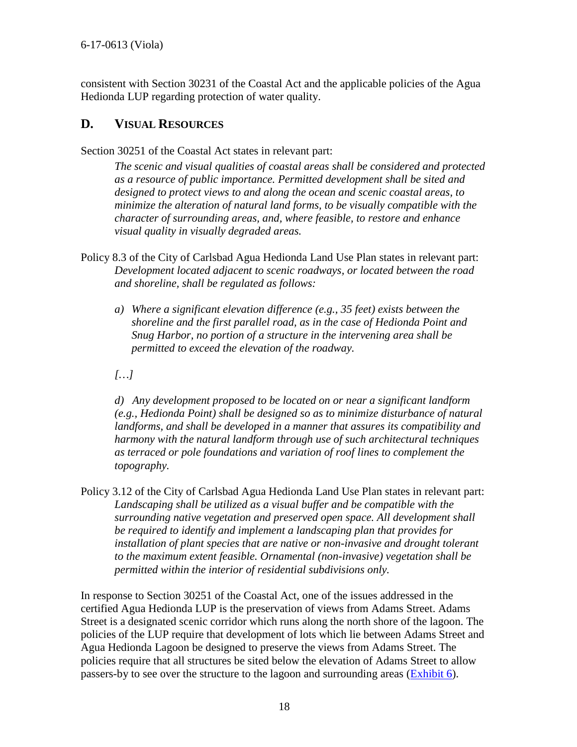consistent with Section 30231 of the Coastal Act and the applicable policies of the Agua Hedionda LUP regarding protection of water quality.

## <span id="page-17-0"></span>**D. VISUAL RESOURCES**

Section 30251 of the Coastal Act states in relevant part:

*The scenic and visual qualities of coastal areas shall be considered and protected as a resource of public importance. Permitted development shall be sited and designed to protect views to and along the ocean and scenic coastal areas, to minimize the alteration of natural land forms, to be visually compatible with the character of surrounding areas, and, where feasible, to restore and enhance visual quality in visually degraded areas.* 

- Policy 8.3 of the City of Carlsbad Agua Hedionda Land Use Plan states in relevant part: *Development located adjacent to scenic roadways, or located between the road and shoreline, shall be regulated as follows:* 
	- *a) Where a significant elevation difference (e.g., 35 feet) exists between the shoreline and the first parallel road, as in the case of Hedionda Point and Snug Harbor, no portion of a structure in the intervening area shall be permitted to exceed the elevation of the roadway.*
	- *[…]*

*d) Any development proposed to be located on or near a significant landform (e.g., Hedionda Point) shall be designed so as to minimize disturbance of natural landforms, and shall be developed in a manner that assures its compatibility and harmony with the natural landform through use of such architectural techniques as terraced or pole foundations and variation of roof lines to complement the topography.* 

Policy 3.12 of the City of Carlsbad Agua Hedionda Land Use Plan states in relevant part: *Landscaping shall be utilized as a visual buffer and be compatible with the surrounding native vegetation and preserved open space. All development shall be required to identify and implement a landscaping plan that provides for installation of plant species that are native or non-invasive and drought tolerant to the maximum extent feasible. Ornamental (non-invasive) vegetation shall be permitted within the interior of residential subdivisions only.* 

In response to Section 30251 of the Coastal Act, one of the issues addressed in the certified Agua Hedionda LUP is the preservation of views from Adams Street. Adams Street is a designated scenic corridor which runs along the north shore of the lagoon. The policies of the LUP require that development of lots which lie between Adams Street and Agua Hedionda Lagoon be designed to preserve the views from Adams Street. The policies require that all structures be sited below the elevation of Adams Street to allow passers-by to see over the structure to the lagoon and surrounding areas [\(Exhibit 6\)](https://documents.coastal.ca.gov/reports/2018/2/th18a/th18a-2-2018-exhibits.pdf).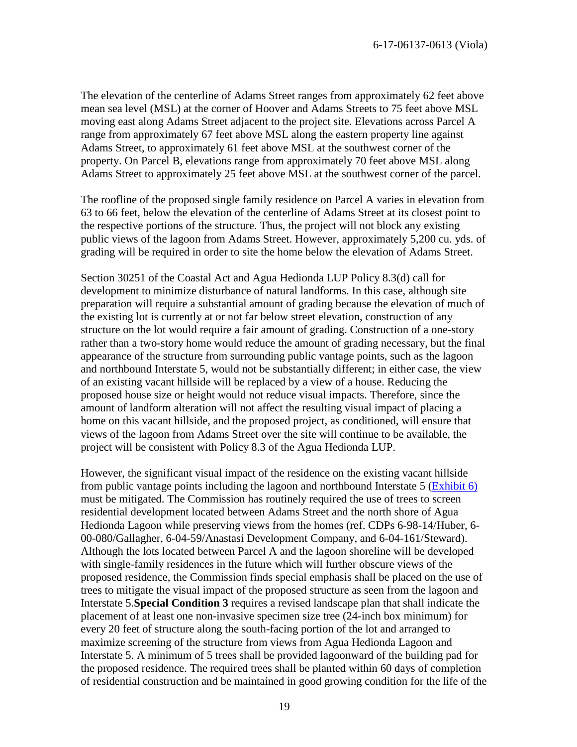The elevation of the centerline of Adams Street ranges from approximately 62 feet above mean sea level (MSL) at the corner of Hoover and Adams Streets to 75 feet above MSL moving east along Adams Street adjacent to the project site. Elevations across Parcel A range from approximately 67 feet above MSL along the eastern property line against Adams Street, to approximately 61 feet above MSL at the southwest corner of the property. On Parcel B, elevations range from approximately 70 feet above MSL along Adams Street to approximately 25 feet above MSL at the southwest corner of the parcel.

The roofline of the proposed single family residence on Parcel A varies in elevation from 63 to 66 feet, below the elevation of the centerline of Adams Street at its closest point to the respective portions of the structure. Thus, the project will not block any existing public views of the lagoon from Adams Street. However, approximately 5,200 cu. yds. of grading will be required in order to site the home below the elevation of Adams Street.

Section 30251 of the Coastal Act and Agua Hedionda LUP Policy 8.3(d) call for development to minimize disturbance of natural landforms. In this case, although site preparation will require a substantial amount of grading because the elevation of much of the existing lot is currently at or not far below street elevation, construction of any structure on the lot would require a fair amount of grading. Construction of a one-story rather than a two-story home would reduce the amount of grading necessary, but the final appearance of the structure from surrounding public vantage points, such as the lagoon and northbound Interstate 5, would not be substantially different; in either case, the view of an existing vacant hillside will be replaced by a view of a house. Reducing the proposed house size or height would not reduce visual impacts. Therefore, since the amount of landform alteration will not affect the resulting visual impact of placing a home on this vacant hillside, and the proposed project, as conditioned, will ensure that views of the lagoon from Adams Street over the site will continue to be available, the project will be consistent with Policy 8.3 of the Agua Hedionda LUP.

However, the significant visual impact of the residence on the existing vacant hillside from public vantage points including the lagoon and northbound Interstate 5 [\(Exhibit 6\)](https://documents.coastal.ca.gov/reports/2018/2/th18a/th18a-2-2018-exhibits.pdf)  must be mitigated. The Commission has routinely required the use of trees to screen residential development located between Adams Street and the north shore of Agua Hedionda Lagoon while preserving views from the homes (ref. CDPs 6-98-14/Huber, 6- 00-080/Gallagher, 6-04-59/Anastasi Development Company, and 6-04-161/Steward). Although the lots located between Parcel A and the lagoon shoreline will be developed with single-family residences in the future which will further obscure views of the proposed residence, the Commission finds special emphasis shall be placed on the use of trees to mitigate the visual impact of the proposed structure as seen from the lagoon and Interstate 5.**Special Condition 3** requires a revised landscape plan that shall indicate the placement of at least one non-invasive specimen size tree (24-inch box minimum) for every 20 feet of structure along the south-facing portion of the lot and arranged to maximize screening of the structure from views from Agua Hedionda Lagoon and Interstate 5. A minimum of 5 trees shall be provided lagoonward of the building pad for the proposed residence. The required trees shall be planted within 60 days of completion of residential construction and be maintained in good growing condition for the life of the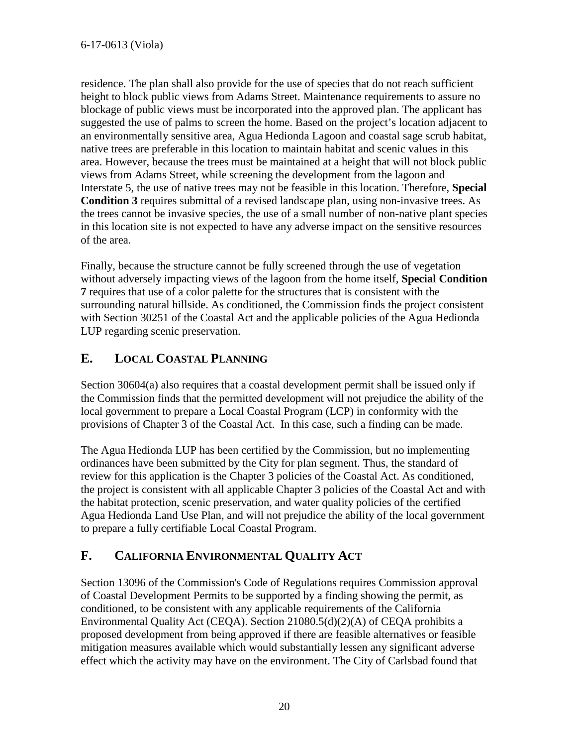residence. The plan shall also provide for the use of species that do not reach sufficient height to block public views from Adams Street. Maintenance requirements to assure no blockage of public views must be incorporated into the approved plan. The applicant has suggested the use of palms to screen the home. Based on the project's location adjacent to an environmentally sensitive area, Agua Hedionda Lagoon and coastal sage scrub habitat, native trees are preferable in this location to maintain habitat and scenic values in this area. However, because the trees must be maintained at a height that will not block public views from Adams Street, while screening the development from the lagoon and Interstate 5, the use of native trees may not be feasible in this location. Therefore, **Special Condition 3** requires submittal of a revised landscape plan, using non-invasive trees. As the trees cannot be invasive species, the use of a small number of non-native plant species in this location site is not expected to have any adverse impact on the sensitive resources of the area.

Finally, because the structure cannot be fully screened through the use of vegetation without adversely impacting views of the lagoon from the home itself, **Special Condition 7** requires that use of a color palette for the structures that is consistent with the surrounding natural hillside. As conditioned, the Commission finds the project consistent with Section 30251 of the Coastal Act and the applicable policies of the Agua Hedionda LUP regarding scenic preservation.

# <span id="page-19-0"></span>**E. LOCAL COASTAL PLANNING**

Section 30604(a) also requires that a coastal development permit shall be issued only if the Commission finds that the permitted development will not prejudice the ability of the local government to prepare a Local Coastal Program (LCP) in conformity with the provisions of Chapter 3 of the Coastal Act. In this case, such a finding can be made.

The Agua Hedionda LUP has been certified by the Commission, but no implementing ordinances have been submitted by the City for plan segment. Thus, the standard of review for this application is the Chapter 3 policies of the Coastal Act. As conditioned, the project is consistent with all applicable Chapter 3 policies of the Coastal Act and with the habitat protection, scenic preservation, and water quality policies of the certified Agua Hedionda Land Use Plan, and will not prejudice the ability of the local government to prepare a fully certifiable Local Coastal Program.

# <span id="page-19-1"></span>**F. CALIFORNIA ENVIRONMENTAL QUALITY ACT**

Section 13096 of the Commission's Code of Regulations requires Commission approval of Coastal Development Permits to be supported by a finding showing the permit, as conditioned, to be consistent with any applicable requirements of the California Environmental Quality Act (CEQA). Section 21080.5(d)(2)(A) of CEQA prohibits a proposed development from being approved if there are feasible alternatives or feasible mitigation measures available which would substantially lessen any significant adverse effect which the activity may have on the environment. The City of Carlsbad found that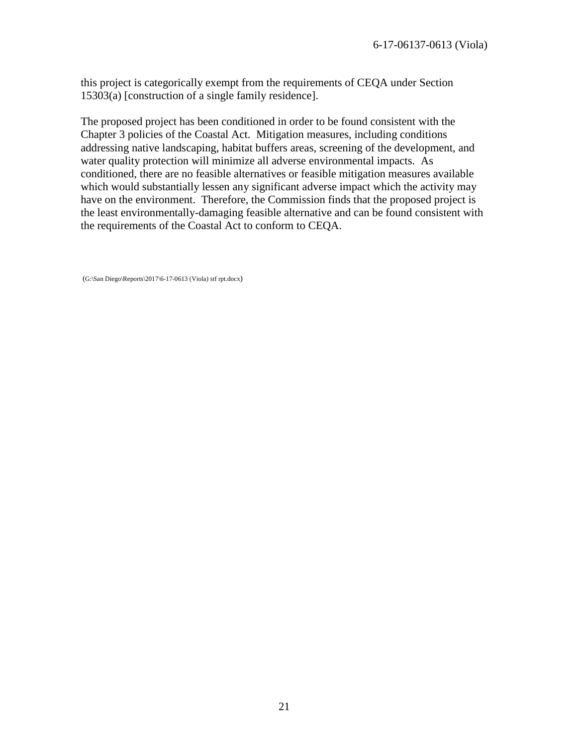this project is categorically exempt from the requirements of CEQA under Section 15303(a) [construction of a single family residence].

The proposed project has been conditioned in order to be found consistent with the Chapter 3 policies of the Coastal Act. Mitigation measures, including conditions addressing native landscaping, habitat buffers areas, screening of the development, and water quality protection will minimize all adverse environmental impacts. As conditioned, there are no feasible alternatives or feasible mitigation measures available which would substantially lessen any significant adverse impact which the activity may have on the environment. Therefore, the Commission finds that the proposed project is the least environmentally-damaging feasible alternative and can be found consistent with the requirements of the Coastal Act to conform to CEQA.

(G:\San Diego\Reports\2017\6-17-0613 (Viola) stf rpt.docx)